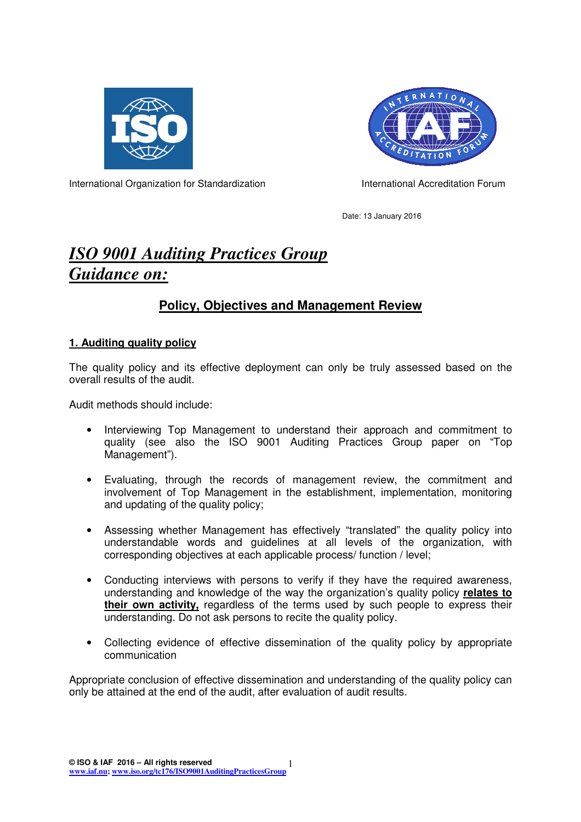



International Organization for Standardization International Accreditation Forum

Date: 13 January 2016

# *ISO 9001 Auditing Practices Group Guidance on:*

## **Policy, Objectives and Management Review**

### **1. Auditing quality policy**

The quality policy and its effective deployment can only be truly assessed based on the overall results of the audit.

Audit methods should include:

- Interviewing Top Management to understand their approach and commitment to quality (see also the ISO 9001 Auditing Practices Group paper on "Top Management").
- Evaluating, through the records of management review, the commitment and involvement of Top Management in the establishment, implementation, monitoring and updating of the quality policy;
- Assessing whether Management has effectively "translated" the quality policy into understandable words and guidelines at all levels of the organization, with corresponding objectives at each applicable process/ function / level;
- Conducting interviews with persons to verify if they have the required awareness, understanding and knowledge of the way the organization's quality policy **relates to their own activity,** regardless of the terms used by such people to express their understanding. Do not ask persons to recite the quality policy.
- Collecting evidence of effective dissemination of the quality policy by appropriate communication

Appropriate conclusion of effective dissemination and understanding of the quality policy can only be attained at the end of the audit, after evaluation of audit results.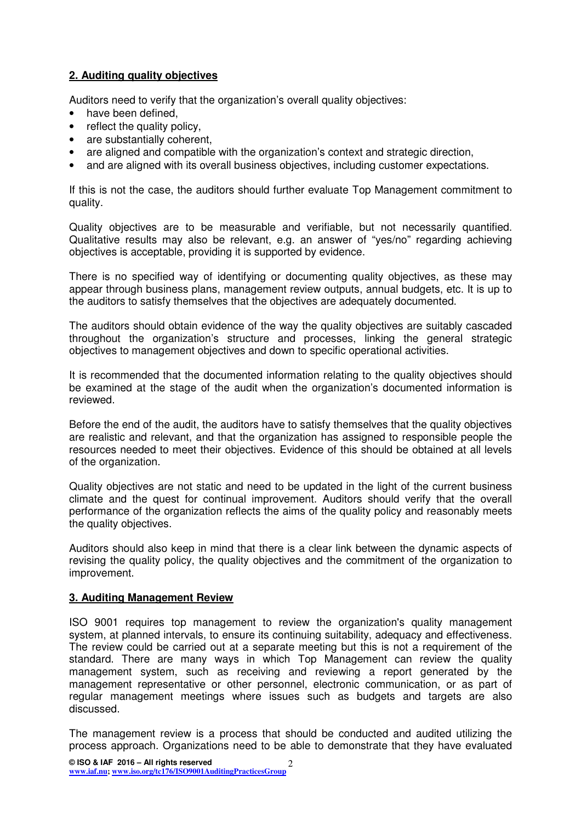## **2. Auditing quality objectives**

Auditors need to verify that the organization's overall quality objectives:

- have been defined.
- reflect the quality policy.
- are substantially coherent,
- are aligned and compatible with the organization's context and strategic direction,
- and are aligned with its overall business objectives, including customer expectations.

If this is not the case, the auditors should further evaluate Top Management commitment to quality.

Quality objectives are to be measurable and verifiable, but not necessarily quantified. Qualitative results may also be relevant, e.g. an answer of "yes/no" regarding achieving objectives is acceptable, providing it is supported by evidence.

There is no specified way of identifying or documenting quality objectives, as these may appear through business plans, management review outputs, annual budgets, etc. It is up to the auditors to satisfy themselves that the objectives are adequately documented.

The auditors should obtain evidence of the way the quality objectives are suitably cascaded throughout the organization's structure and processes, linking the general strategic objectives to management objectives and down to specific operational activities.

It is recommended that the documented information relating to the quality objectives should be examined at the stage of the audit when the organization's documented information is reviewed.

Before the end of the audit, the auditors have to satisfy themselves that the quality objectives are realistic and relevant, and that the organization has assigned to responsible people the resources needed to meet their objectives. Evidence of this should be obtained at all levels of the organization.

Quality objectives are not static and need to be updated in the light of the current business climate and the quest for continual improvement. Auditors should verify that the overall performance of the organization reflects the aims of the quality policy and reasonably meets the quality objectives.

Auditors should also keep in mind that there is a clear link between the dynamic aspects of revising the quality policy, the quality objectives and the commitment of the organization to improvement.

#### **3. Auditing Management Review**

ISO 9001 requires top management to review the organization's quality management system, at planned intervals, to ensure its continuing suitability, adequacy and effectiveness. The review could be carried out at a separate meeting but this is not a requirement of the standard. There are many ways in which Top Management can review the quality management system, such as receiving and reviewing a report generated by the management representative or other personnel, electronic communication, or as part of regular management meetings where issues such as budgets and targets are also discussed.

The management review is a process that should be conducted and audited utilizing the process approach. Organizations need to be able to demonstrate that they have evaluated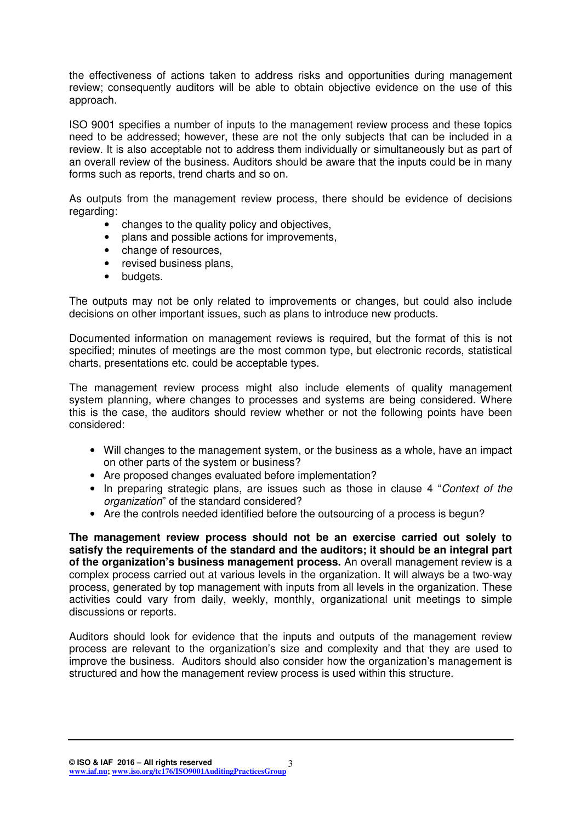the effectiveness of actions taken to address risks and opportunities during management review; consequently auditors will be able to obtain objective evidence on the use of this approach.

ISO 9001 specifies a number of inputs to the management review process and these topics need to be addressed; however, these are not the only subjects that can be included in a review. It is also acceptable not to address them individually or simultaneously but as part of an overall review of the business. Auditors should be aware that the inputs could be in many forms such as reports, trend charts and so on.

As outputs from the management review process, there should be evidence of decisions regarding:

- changes to the quality policy and objectives,
- plans and possible actions for improvements,
- change of resources,
- revised business plans,
- budgets.

The outputs may not be only related to improvements or changes, but could also include decisions on other important issues, such as plans to introduce new products.

Documented information on management reviews is required, but the format of this is not specified; minutes of meetings are the most common type, but electronic records, statistical charts, presentations etc. could be acceptable types.

The management review process might also include elements of quality management system planning, where changes to processes and systems are being considered. Where this is the case, the auditors should review whether or not the following points have been considered:

- Will changes to the management system, or the business as a whole, have an impact on other parts of the system or business?
- Are proposed changes evaluated before implementation?
- In preparing strategic plans, are issues such as those in clause 4 "Context of the organization" of the standard considered?
- Are the controls needed identified before the outsourcing of a process is begun?

**The management review process should not be an exercise carried out solely to satisfy the requirements of the standard and the auditors; it should be an integral part of the organization's business management process.** An overall management review is a complex process carried out at various levels in the organization. It will always be a two-way process, generated by top management with inputs from all levels in the organization. These activities could vary from daily, weekly, monthly, organizational unit meetings to simple discussions or reports.

Auditors should look for evidence that the inputs and outputs of the management review process are relevant to the organization's size and complexity and that they are used to improve the business. Auditors should also consider how the organization's management is structured and how the management review process is used within this structure.

**© ISO & IAF 2016 – All rights reserved www.iaf.nu; www.iso.org/tc176/ISO9001AuditingPracticesGroup**